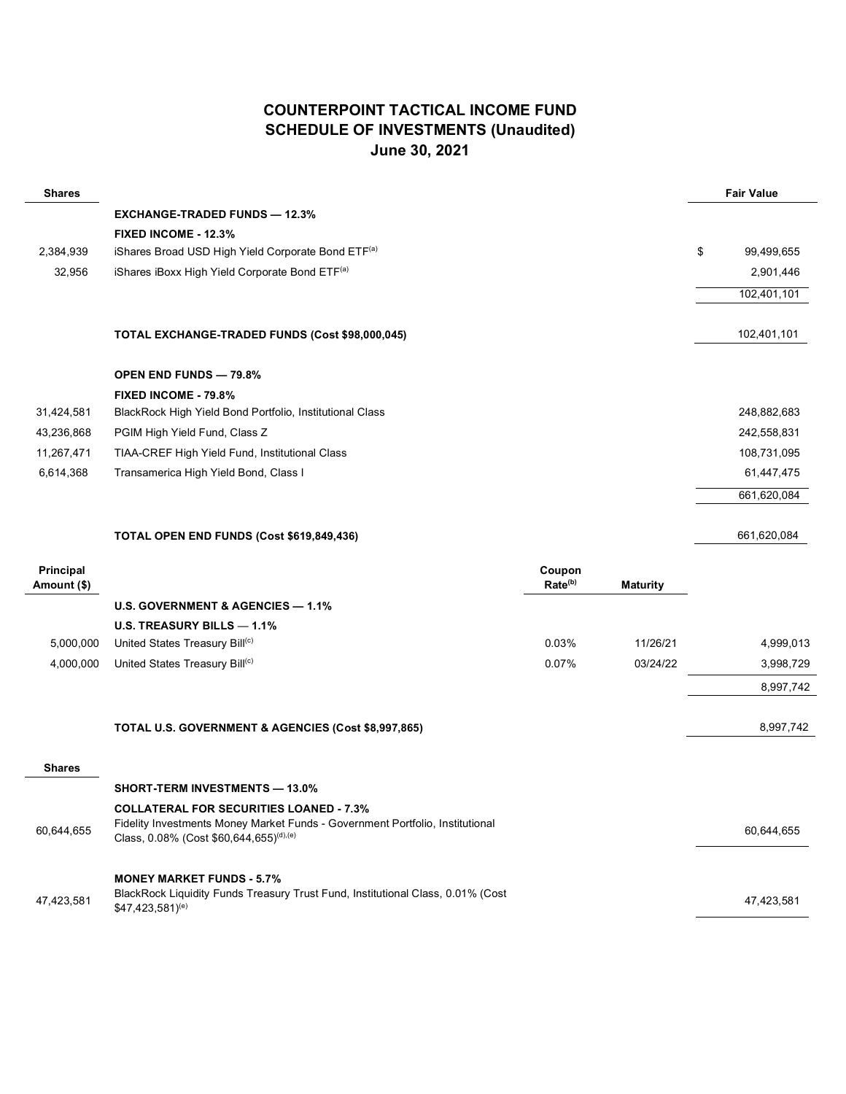### **COUNTERPOINT TACTICAL INCOME FUND SCHEDULE OF INVESTMENTS (Unaudited) June 30, 2021**

| <b>Shares</b>            |                                                          |                               |                 | <b>Fair Value</b> |
|--------------------------|----------------------------------------------------------|-------------------------------|-----------------|-------------------|
|                          | <b>EXCHANGE-TRADED FUNDS - 12.3%</b>                     |                               |                 |                   |
|                          | FIXED INCOME - 12.3%                                     |                               |                 |                   |
| 2,384,939                | iShares Broad USD High Yield Corporate Bond ETF(a)       |                               |                 | \$<br>99,499,655  |
| 32,956                   | iShares iBoxx High Yield Corporate Bond ETF(a)           |                               |                 | 2,901,446         |
|                          |                                                          |                               |                 | 102,401,101       |
|                          | TOTAL EXCHANGE-TRADED FUNDS (Cost \$98,000,045)          |                               |                 | 102,401,101       |
|                          | <b>OPEN END FUNDS - 79.8%</b>                            |                               |                 |                   |
|                          | FIXED INCOME - 79.8%                                     |                               |                 |                   |
| 31,424,581               | BlackRock High Yield Bond Portfolio, Institutional Class |                               |                 | 248,882,683       |
| 43,236,868               | PGIM High Yield Fund, Class Z                            |                               |                 | 242,558,831       |
| 11,267,471               | TIAA-CREF High Yield Fund, Institutional Class           |                               |                 | 108,731,095       |
| 6,614,368                | Transamerica High Yield Bond, Class I                    |                               |                 | 61,447,475        |
|                          |                                                          |                               |                 | 661,620,084       |
|                          | TOTAL OPEN END FUNDS (Cost \$619,849,436)                |                               |                 | 661,620,084       |
| Principal<br>Amount (\$) |                                                          | Coupon<br>Rate <sup>(b)</sup> | <b>Maturity</b> |                   |
|                          | U.S. GOVERNMENT & AGENCIES - 1.1%                        |                               |                 |                   |
|                          | U.S. TREASURY BILLS - 1.1%                               |                               |                 |                   |
| 5,000,000                | United States Treasury Bill <sup>(c)</sup>               | 0.03%                         | 11/26/21        | 4,999,013         |
| 4,000,000                | United States Treasury Bill(c)                           | 0.07%                         | 03/24/22        | 3,998,729         |
|                          |                                                          |                               |                 | 8,997,742         |
|                          | TOTAL U.S. GOVERNMENT & AGENCIES (Cost \$8,997,865)      |                               |                 | 8,997,742         |
| <b>Shares</b>            |                                                          |                               |                 |                   |
|                          |                                                          |                               |                 |                   |

|            | <b>SHORT-TERM INVESTMENTS — 13.0%</b>                                                                                                                                                  |            |  |
|------------|----------------------------------------------------------------------------------------------------------------------------------------------------------------------------------------|------------|--|
| 60,644,655 | <b>COLLATERAL FOR SECURITIES LOANED - 7.3%</b><br>Fidelity Investments Money Market Funds - Government Portfolio, Institutional<br>Class, 0.08% (Cost \$60,644,655) <sup>(d),(e)</sup> | 60.644.655 |  |
| 47,423,581 | <b>MONEY MARKET FUNDS - 5.7%</b><br>BlackRock Liquidity Funds Treasury Trust Fund, Institutional Class, 0.01% (Cost<br>\$47.423.581 <sup>(e)</sup>                                     | 47.423.581 |  |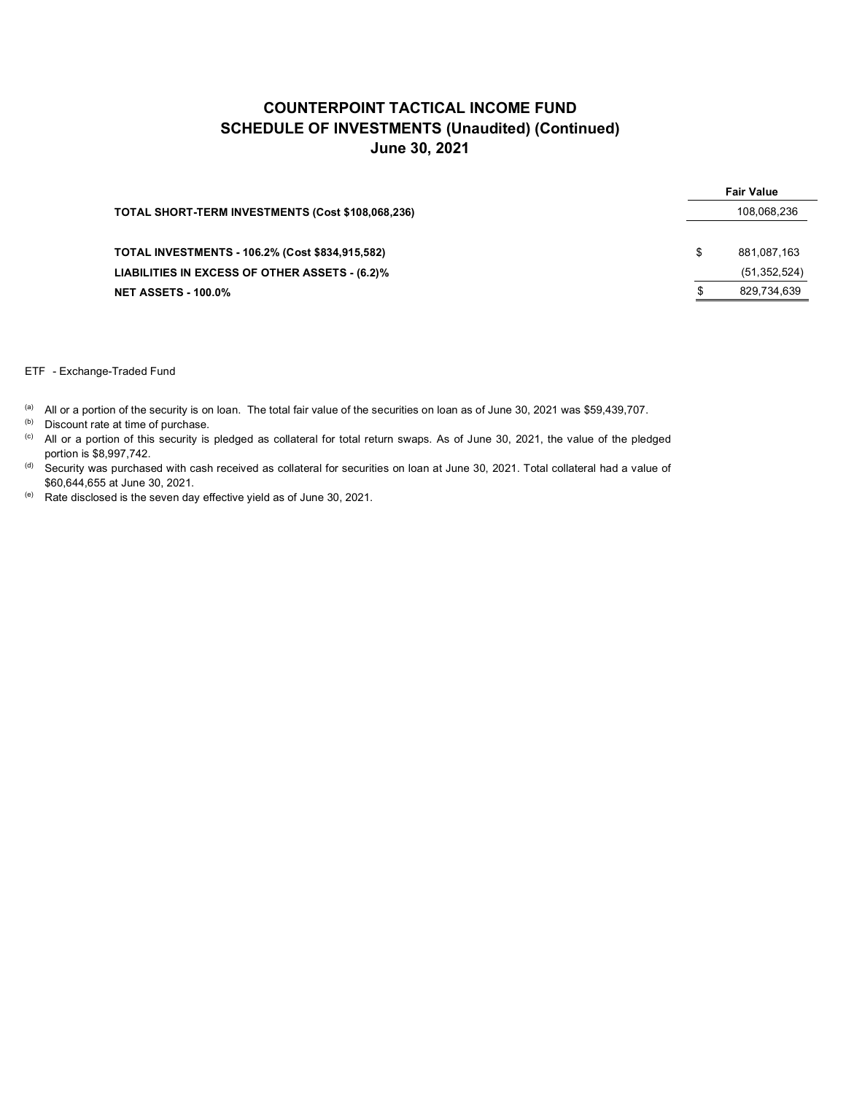|                                                        |   | <b>Fair Value</b> |
|--------------------------------------------------------|---|-------------------|
| TOTAL SHORT-TERM INVESTMENTS (Cost \$108,068,236)      |   | 108,068,236       |
| <b>TOTAL INVESTMENTS - 106.2% (Cost \$834,915,582)</b> | S | 881.087.163       |
| LIABILITIES IN EXCESS OF OTHER ASSETS - (6.2)%         |   | (51, 352, 524)    |
| <b>NET ASSETS - 100.0%</b>                             |   | 829,734,639       |

ETF - Exchange-Traded Fund

(a) All or a portion of the security is on loan. The total fair value of the securities on loan as of June 30, 2021 was \$59,439,707.

(b) Discount rate at time of purchase.

(c) All or a portion of this security is pledged as collateral for total return swaps. As of June 30, 2021, the value of the pledged portion is \$8,997,742.

(d) Security was purchased with cash received as collateral for securities on loan at June 30, 2021. Total collateral had a value of \$60,644,655 at June 30, 2021.

 $(e)$  Rate disclosed is the seven day effective yield as of June 30, 2021.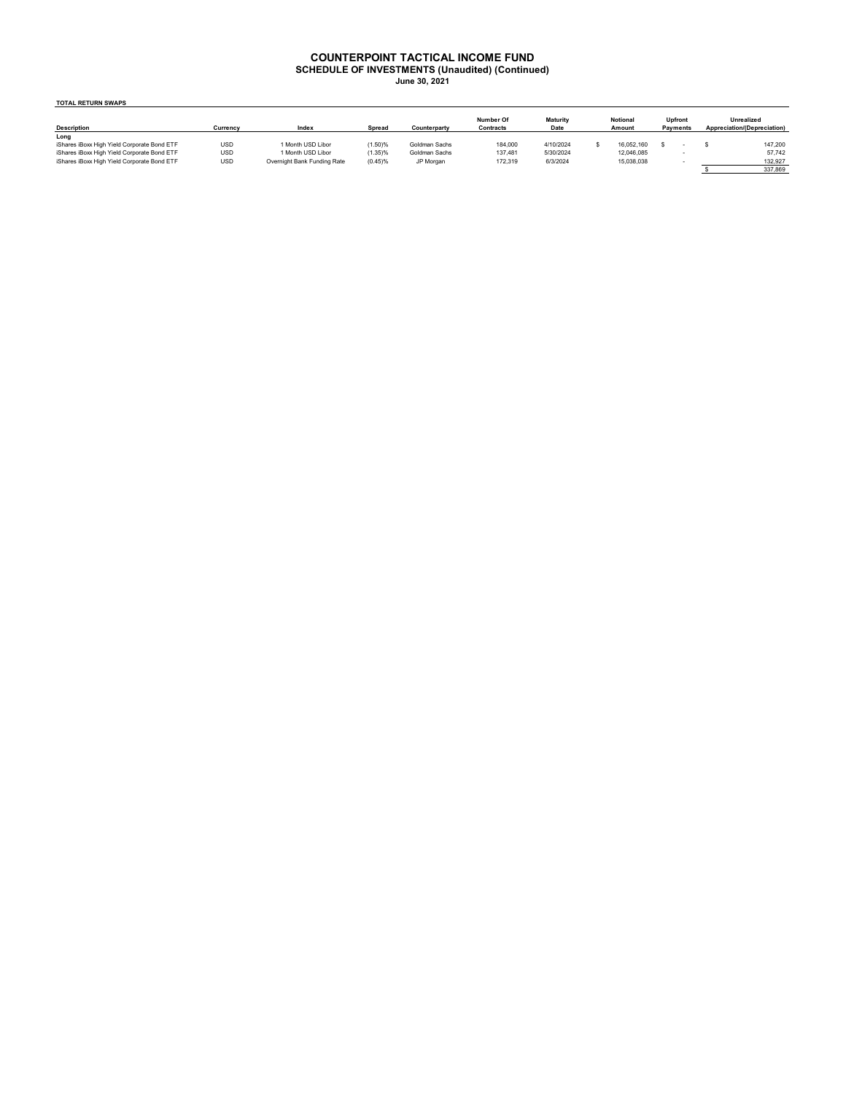#### **COUNTERPOINT TACTICAL INCOME FUND**

**SCHEDULE OF INVESTMENTS (Unaudited) (Continued) June 30, 2021**

**TOTAL RETURN SWAPS**

| <b>Description</b>                          | Currency   | Index                       | Spread  | Counterparty  | Number Of<br>Contracts | <b>Maturity</b><br>Date | <b>Notional</b><br>Amount | <b>Upfront</b><br>Payments |  | Unrealized<br>Appreciation/(Depreciation) |
|---------------------------------------------|------------|-----------------------------|---------|---------------|------------------------|-------------------------|---------------------------|----------------------------|--|-------------------------------------------|
| Long                                        |            |                             |         |               |                        |                         |                           |                            |  |                                           |
| iShares iBoxx High Yield Corporate Bond ETF | <b>USD</b> | 1 Month USD Libor           | (1.50)% | Goldman Sachs | 184,000                | 4/10/2024               | 16.052.160                |                            |  | 147.200                                   |
| iShares iBoxx High Yield Corporate Bond ETF | <b>USD</b> | 1 Month USD Libor           | (1.35)% | Goldman Sachs | 137.481                | 5/30/2024               | 12.046.085                |                            |  | 57.742                                    |
| iShares iBoxx High Yield Corporate Bond ETF | USD        | Overnight Bank Funding Rate | (0.45)% | JP Morgan     | 172,319                | 6/3/2024                | 15,038,038                |                            |  | 132,927                                   |
|                                             |            |                             |         |               |                        |                         |                           |                            |  | 337,869                                   |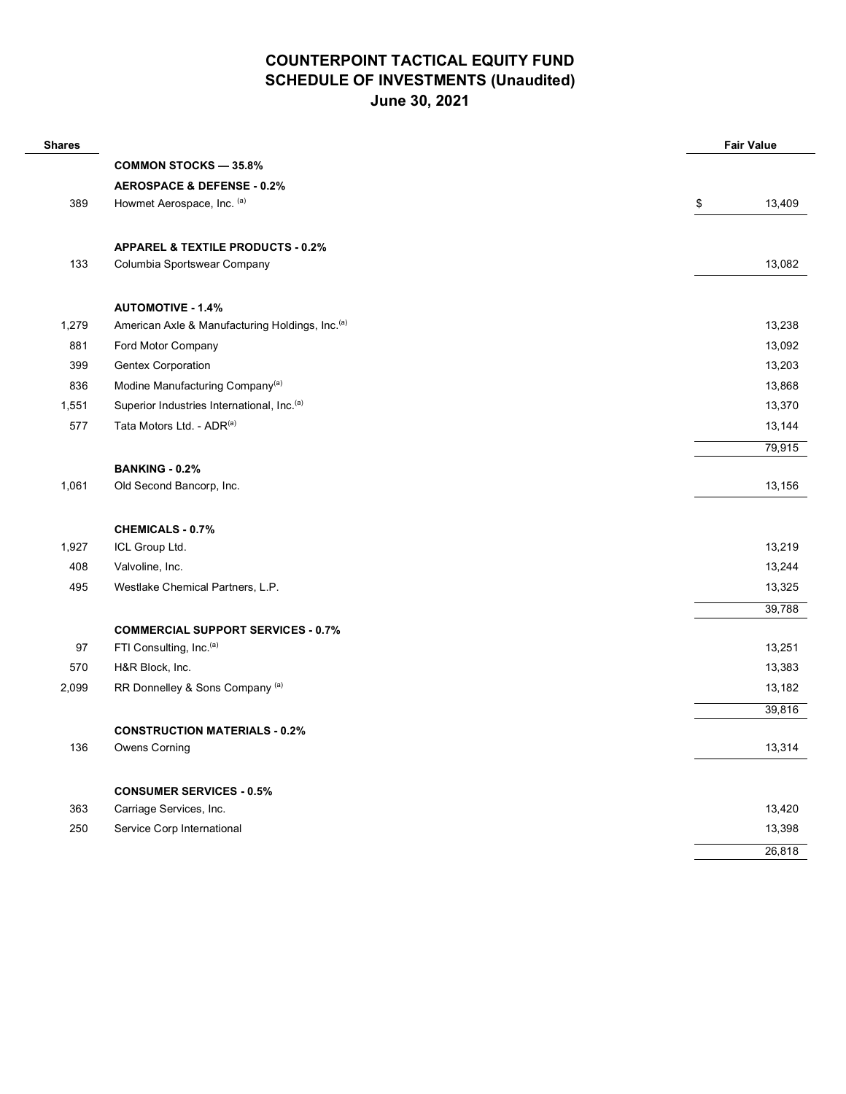| <b>Shares</b> |                                                             | <b>Fair Value</b> |
|---------------|-------------------------------------------------------------|-------------------|
|               | <b>COMMON STOCKS - 35.8%</b>                                |                   |
|               | <b>AEROSPACE &amp; DEFENSE - 0.2%</b>                       |                   |
| 389           | Howmet Aerospace, Inc. (a)                                  | \$<br>13,409      |
|               | <b>APPAREL &amp; TEXTILE PRODUCTS - 0.2%</b>                |                   |
| 133           | Columbia Sportswear Company                                 | 13,082            |
|               | <b>AUTOMOTIVE - 1.4%</b>                                    |                   |
| 1,279         | American Axle & Manufacturing Holdings, Inc. <sup>(a)</sup> | 13,238            |
| 881           | Ford Motor Company                                          | 13,092            |
| 399           | <b>Gentex Corporation</b>                                   | 13,203            |
| 836           | Modine Manufacturing Company <sup>(a)</sup>                 | 13,868            |
| 1,551         | Superior Industries International, Inc. <sup>(a)</sup>      | 13,370            |
| 577           | Tata Motors Ltd. - ADR(a)                                   | 13,144            |
|               |                                                             | 79,915            |
|               | <b>BANKING - 0.2%</b>                                       |                   |
| 1,061         | Old Second Bancorp, Inc.                                    | 13,156            |
|               | <b>CHEMICALS - 0.7%</b>                                     |                   |
| 1,927         | ICL Group Ltd.                                              | 13,219            |
| 408           | Valvoline, Inc.                                             | 13,244            |
| 495           | Westlake Chemical Partners, L.P.                            | 13,325            |
|               |                                                             | 39,788            |
|               | <b>COMMERCIAL SUPPORT SERVICES - 0.7%</b>                   |                   |
| 97            | FTI Consulting, Inc. <sup>(a)</sup>                         | 13,251            |
| 570           | H&R Block, Inc.                                             | 13,383            |
| 2,099         | RR Donnelley & Sons Company (a)                             | 13,182            |
|               |                                                             | 39,816            |
|               | <b>CONSTRUCTION MATERIALS - 0.2%</b>                        |                   |
| 136           | Owens Corning                                               | 13,314            |
|               |                                                             |                   |
|               | <b>CONSUMER SERVICES - 0.5%</b>                             |                   |
| 363           | Carriage Services, Inc.                                     | 13,420            |
| 250           | Service Corp International                                  | 13,398            |
|               |                                                             | 26,818            |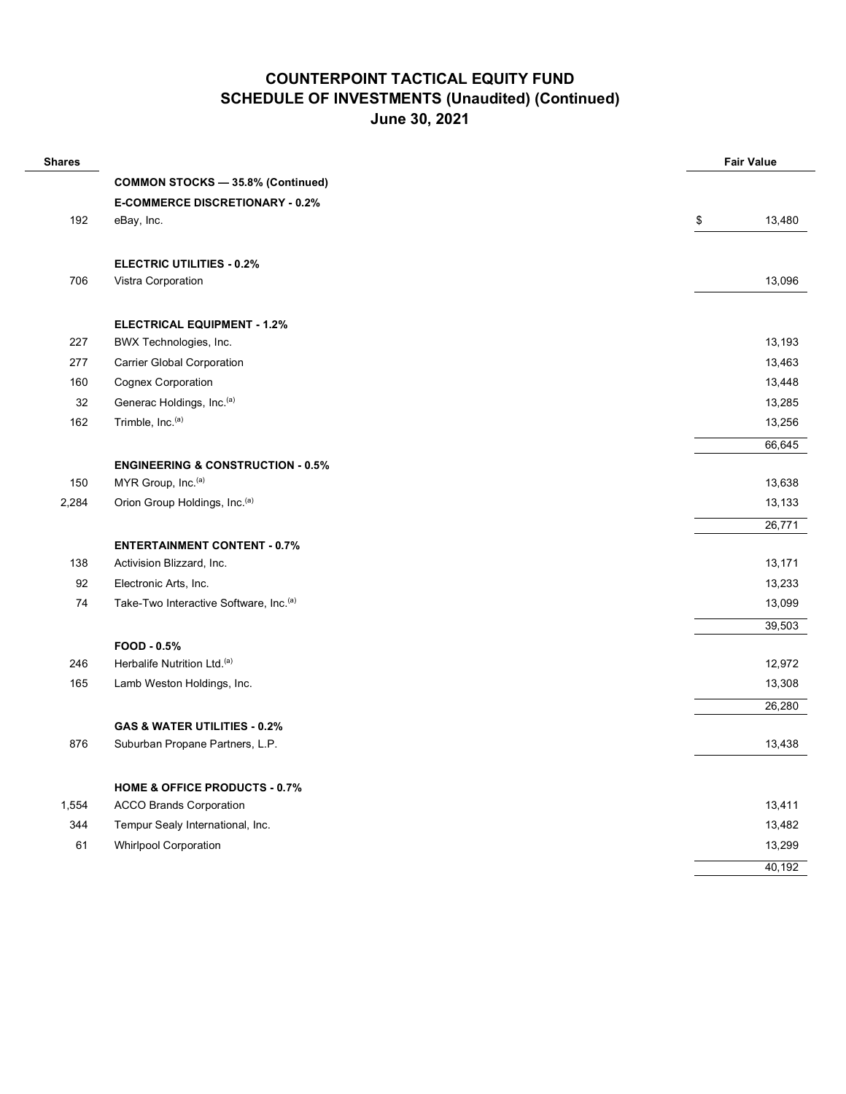| <b>Shares</b> |                                                    | <b>Fair Value</b> |
|---------------|----------------------------------------------------|-------------------|
|               | <b>COMMON STOCKS - 35.8% (Continued)</b>           |                   |
|               | <b>E-COMMERCE DISCRETIONARY - 0.2%</b>             |                   |
| 192           | eBay, Inc.                                         | \$<br>13,480      |
|               | <b>ELECTRIC UTILITIES - 0.2%</b>                   |                   |
| 706           | Vistra Corporation                                 | 13,096            |
|               | <b>ELECTRICAL EQUIPMENT - 1.2%</b>                 |                   |
| 227           | BWX Technologies, Inc.                             | 13,193            |
| 277           | <b>Carrier Global Corporation</b>                  | 13,463            |
| 160           | <b>Cognex Corporation</b>                          | 13,448            |
| 32            | Generac Holdings, Inc.(a)                          | 13,285            |
| 162           | Trimble, Inc. <sup>(a)</sup>                       | 13,256            |
|               |                                                    | 66,645            |
|               | <b>ENGINEERING &amp; CONSTRUCTION - 0.5%</b>       |                   |
| 150           | MYR Group, Inc. <sup>(a)</sup>                     | 13,638            |
| 2,284         | Orion Group Holdings, Inc. <sup>(a)</sup>          | 13,133            |
|               |                                                    | 26,771            |
|               | <b>ENTERTAINMENT CONTENT - 0.7%</b>                |                   |
| 138           | Activision Blizzard, Inc.                          | 13,171            |
| 92            | Electronic Arts, Inc.                              | 13,233            |
| 74            | Take-Two Interactive Software, Inc. <sup>(a)</sup> | 13,099            |
|               |                                                    | 39,503            |
|               | FOOD - 0.5%                                        |                   |
| 246           | Herbalife Nutrition Ltd. <sup>(a)</sup>            | 12,972            |
| 165           | Lamb Weston Holdings, Inc.                         | 13,308            |
|               |                                                    | 26,280            |
|               | GAS & WATER UTILITIES - 0.2%                       |                   |
| 876           | Suburban Propane Partners, L.P.                    | 13,438            |
|               | <b>HOME &amp; OFFICE PRODUCTS - 0.7%</b>           |                   |
| 1,554         | <b>ACCO Brands Corporation</b>                     | 13,411            |
| 344           | Tempur Sealy International, Inc.                   | 13,482            |
| 61            | <b>Whirlpool Corporation</b>                       | 13,299            |
|               |                                                    | 40,192            |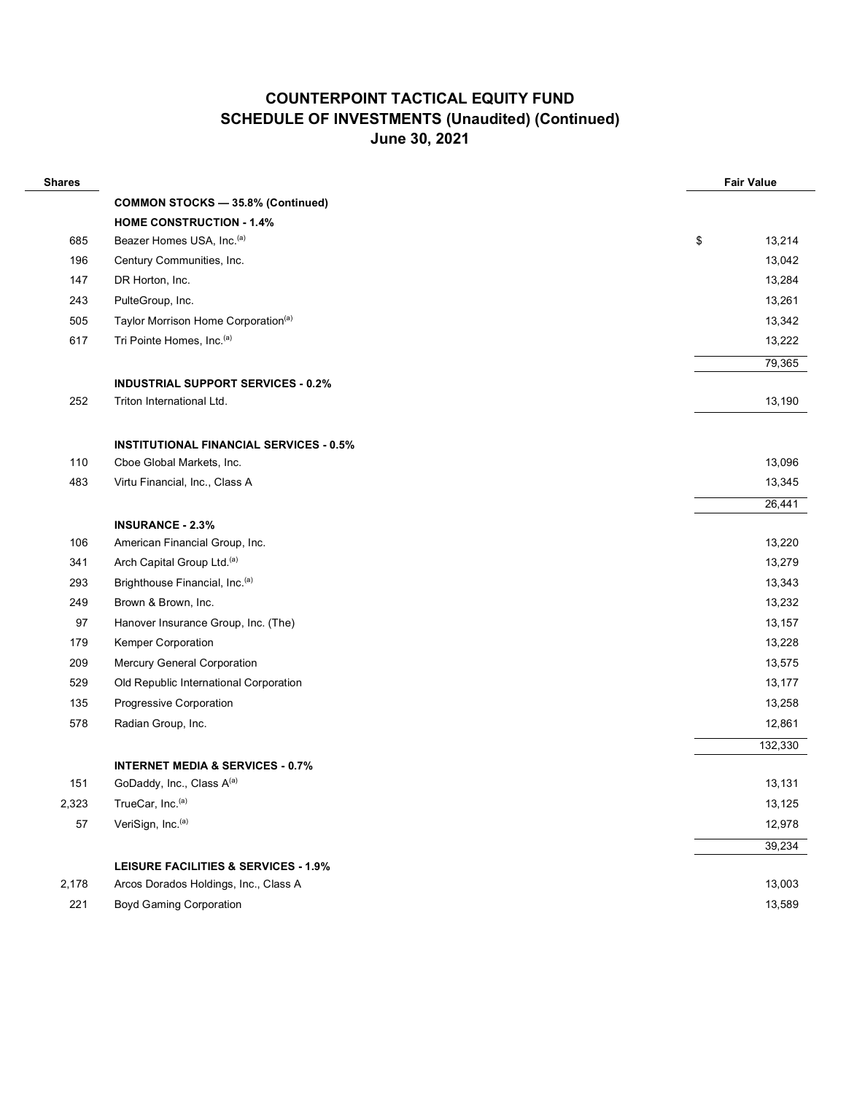| <b>Shares</b> |                                                 |    | <b>Fair Value</b> |  |  |
|---------------|-------------------------------------------------|----|-------------------|--|--|
|               | <b>COMMON STOCKS - 35.8% (Continued)</b>        |    |                   |  |  |
|               | <b>HOME CONSTRUCTION - 1.4%</b>                 |    |                   |  |  |
| 685           | Beazer Homes USA, Inc. <sup>(a)</sup>           | \$ | 13,214            |  |  |
| 196           | Century Communities, Inc.                       |    | 13,042            |  |  |
| 147           | DR Horton, Inc.                                 |    | 13,284            |  |  |
| 243           | PulteGroup, Inc.                                |    | 13,261            |  |  |
| 505           | Taylor Morrison Home Corporation <sup>(a)</sup> |    | 13,342            |  |  |
| 617           | Tri Pointe Homes, Inc. <sup>(a)</sup>           |    | 13,222            |  |  |
|               |                                                 |    | 79,365            |  |  |
|               | <b>INDUSTRIAL SUPPORT SERVICES - 0.2%</b>       |    |                   |  |  |
| 252           | Triton International Ltd.                       |    | 13,190            |  |  |
|               |                                                 |    |                   |  |  |
|               | <b>INSTITUTIONAL FINANCIAL SERVICES - 0.5%</b>  |    |                   |  |  |
| 110           | Cboe Global Markets, Inc.                       |    | 13,096            |  |  |
| 483           | Virtu Financial, Inc., Class A                  |    | 13,345            |  |  |
|               |                                                 |    | 26,441            |  |  |
|               | <b>INSURANCE - 2.3%</b>                         |    |                   |  |  |
| 106           | American Financial Group, Inc.                  |    | 13,220            |  |  |
| 341           | Arch Capital Group Ltd. <sup>(a)</sup>          |    | 13,279            |  |  |
| 293           | Brighthouse Financial, Inc. <sup>(a)</sup>      |    | 13,343            |  |  |
| 249           | Brown & Brown, Inc.                             |    | 13,232            |  |  |
| 97            | Hanover Insurance Group, Inc. (The)             |    | 13,157            |  |  |
| 179           | Kemper Corporation                              |    | 13,228            |  |  |
| 209           | Mercury General Corporation                     |    | 13,575            |  |  |
| 529           | Old Republic International Corporation          |    | 13,177            |  |  |
| 135           | Progressive Corporation                         |    | 13,258            |  |  |
| 578           | Radian Group, Inc.                              |    | 12,861            |  |  |
|               |                                                 |    | 132,330           |  |  |
|               | <b>INTERNET MEDIA &amp; SERVICES - 0.7%</b>     |    |                   |  |  |
| 151           | GoDaddy, Inc., Class A(a)                       |    | 13,131            |  |  |
| 2,323         | TrueCar, Inc. <sup>(a)</sup>                    |    | 13,125            |  |  |
| 57            | VeriSign, Inc.(a)                               |    | 12,978            |  |  |
|               |                                                 |    | 39,234            |  |  |
|               | <b>LEISURE FACILITIES &amp; SERVICES - 1.9%</b> |    |                   |  |  |
| 2,178         | Arcos Dorados Holdings, Inc., Class A           |    | 13,003            |  |  |
| 221           | <b>Boyd Gaming Corporation</b>                  |    | 13,589            |  |  |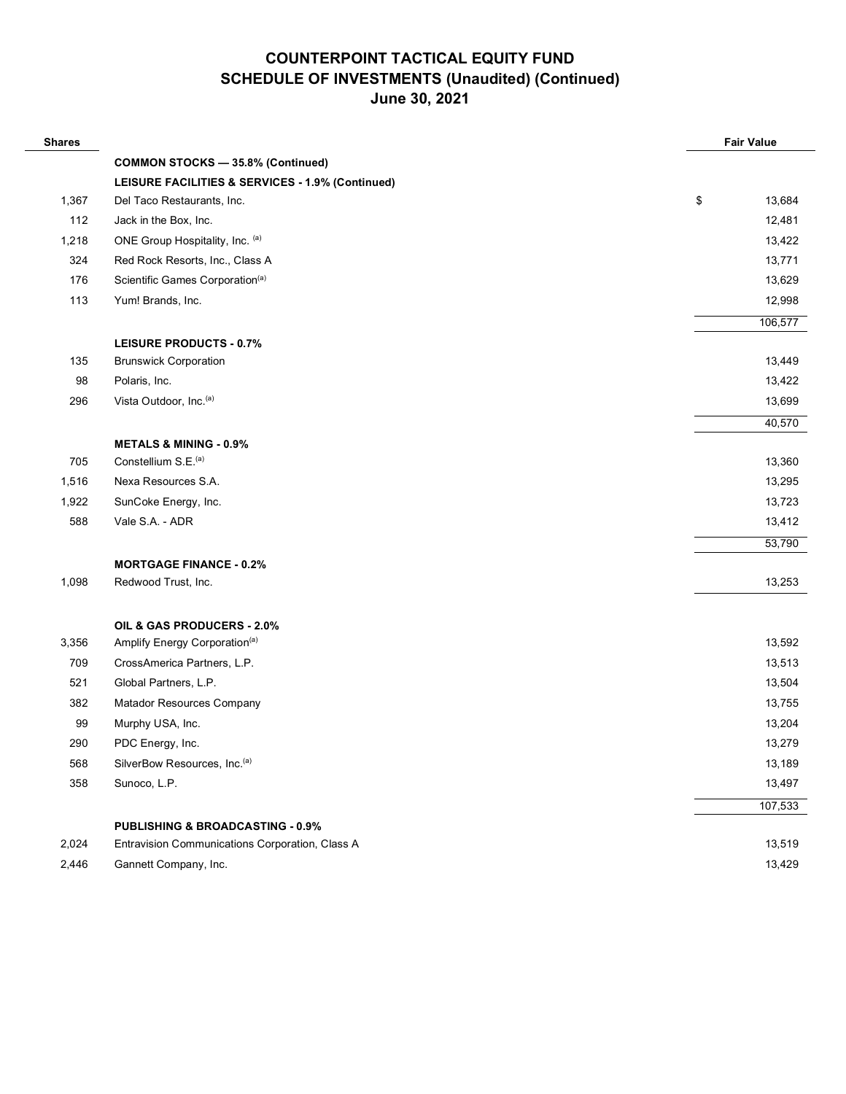| <b>Shares</b> |                                                  | <b>Fair Value</b> |
|---------------|--------------------------------------------------|-------------------|
|               | <b>COMMON STOCKS - 35.8% (Continued)</b>         |                   |
|               | LEISURE FACILITIES & SERVICES - 1.9% (Continued) |                   |
| 1,367         | Del Taco Restaurants, Inc.                       | \$<br>13,684      |
| 112           | Jack in the Box, Inc.                            | 12,481            |
| 1,218         | ONE Group Hospitality, Inc. (a)                  | 13,422            |
| 324           | Red Rock Resorts, Inc., Class A                  | 13,771            |
| 176           | Scientific Games Corporation <sup>(a)</sup>      | 13,629            |
| 113           | Yum! Brands, Inc.                                | 12,998            |
|               |                                                  | 106,577           |
|               | <b>LEISURE PRODUCTS - 0.7%</b>                   |                   |
| 135           | <b>Brunswick Corporation</b>                     | 13,449            |
| 98            | Polaris, Inc.                                    | 13,422            |
| 296           | Vista Outdoor, Inc. <sup>(a)</sup>               | 13,699            |
|               |                                                  | 40,570            |
|               | <b>METALS &amp; MINING - 0.9%</b>                |                   |
| 705           | Constellium S.E. <sup>(a)</sup>                  | 13,360            |
| 1,516         | Nexa Resources S.A.                              | 13,295            |
| 1,922         | SunCoke Energy, Inc.                             | 13,723            |
| 588           | Vale S.A. - ADR                                  | 13,412            |
|               |                                                  | 53,790            |
|               | <b>MORTGAGE FINANCE - 0.2%</b>                   |                   |
| 1,098         | Redwood Trust, Inc.                              | 13,253            |
|               | OIL & GAS PRODUCERS - 2.0%                       |                   |
| 3,356         | Amplify Energy Corporation <sup>(a)</sup>        | 13,592            |
| 709           | CrossAmerica Partners, L.P.                      | 13,513            |
| 521           | Global Partners, L.P.                            | 13,504            |
| 382           | Matador Resources Company                        | 13,755            |
| 99            | Murphy USA, Inc.                                 | 13,204            |
| 290           | PDC Energy, Inc.                                 | 13,279            |
| 568           | SilverBow Resources, Inc. (a)                    | 13,189            |
| 358           | Sunoco, L.P.                                     | 13,497            |
|               |                                                  | 107,533           |
|               | <b>PUBLISHING &amp; BROADCASTING - 0.9%</b>      |                   |
| 2,024         | Entravision Communications Corporation, Class A  | 13,519            |
| 2,446         | Gannett Company, Inc.                            | 13,429            |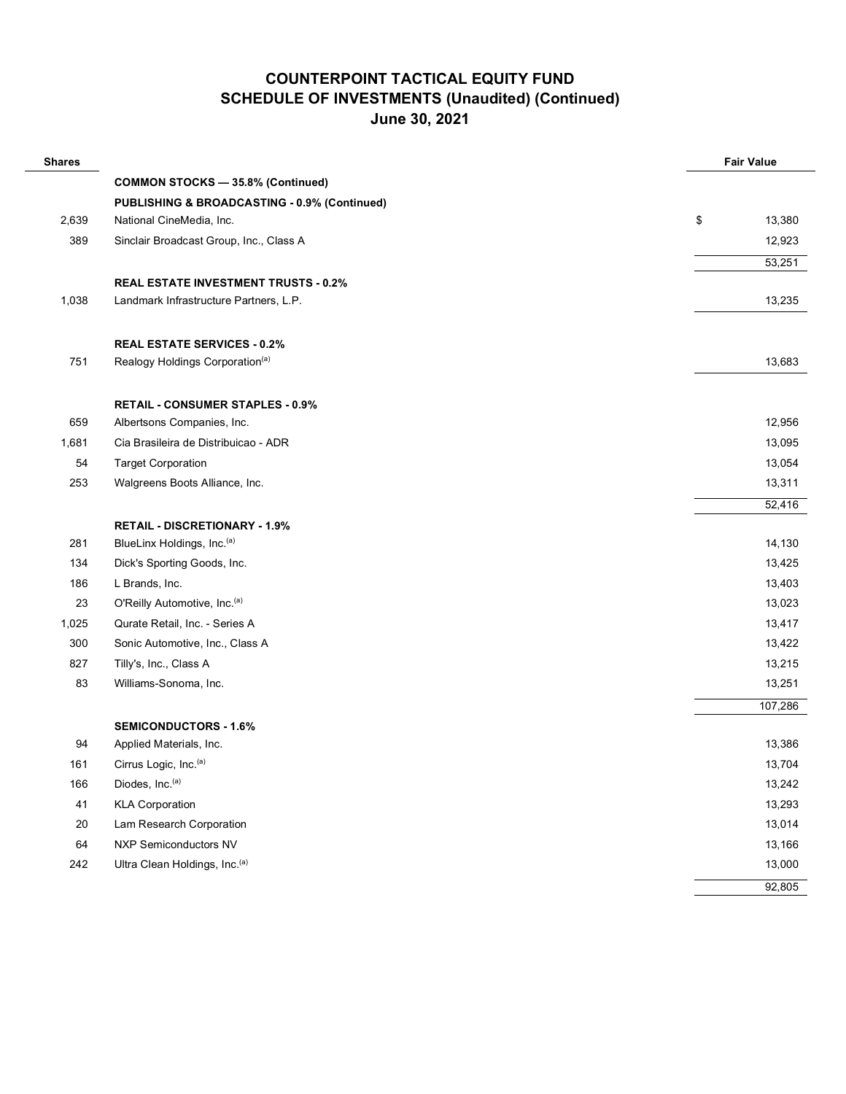| <b>Shares</b> |                                              | <b>Fair Value</b> |
|---------------|----------------------------------------------|-------------------|
|               | <b>COMMON STOCKS - 35.8% (Continued)</b>     |                   |
|               | PUBLISHING & BROADCASTING - 0.9% (Continued) |                   |
| 2,639         | National CineMedia, Inc.                     | \$<br>13,380      |
| 389           | Sinclair Broadcast Group, Inc., Class A      | 12,923            |
|               |                                              | 53,251            |
|               | <b>REAL ESTATE INVESTMENT TRUSTS - 0.2%</b>  |                   |
| 1,038         | Landmark Infrastructure Partners, L.P.       | 13,235            |
|               |                                              |                   |
|               | <b>REAL ESTATE SERVICES - 0.2%</b>           |                   |
| 751           | Realogy Holdings Corporation <sup>(a)</sup>  | 13,683            |
|               |                                              |                   |
|               | <b>RETAIL - CONSUMER STAPLES - 0.9%</b>      |                   |
| 659           | Albertsons Companies, Inc.                   | 12,956            |
| 1,681         | Cia Brasileira de Distribuicao - ADR         | 13,095            |
| 54            | <b>Target Corporation</b>                    | 13,054            |
| 253           | Walgreens Boots Alliance, Inc.               | 13,311            |
|               |                                              | 52,416            |
|               | <b>RETAIL - DISCRETIONARY - 1.9%</b>         |                   |
| 281           | BlueLinx Holdings, Inc.(a)                   | 14,130            |
| 134           | Dick's Sporting Goods, Inc.                  | 13,425            |
| 186           | L Brands, Inc.                               | 13,403            |
| 23            | O'Reilly Automotive, Inc.(a)                 | 13,023            |
| 1,025         | Qurate Retail, Inc. - Series A               | 13,417            |
| 300           | Sonic Automotive, Inc., Class A              | 13,422            |
| 827           | Tilly's, Inc., Class A                       | 13,215            |
| 83            | Williams-Sonoma, Inc.                        | 13,251            |
|               |                                              | 107,286           |
|               | <b>SEMICONDUCTORS - 1.6%</b>                 |                   |
| 94            | Applied Materials, Inc.                      | 13,386            |
| 161           | Cirrus Logic, Inc. <sup>(a)</sup>            | 13,704            |
| 166           | Diodes, Inc.(a)                              | 13,242            |
| 41            | <b>KLA Corporation</b>                       | 13,293            |
| 20            | Lam Research Corporation                     | 13,014            |
| 64            | <b>NXP Semiconductors NV</b>                 | 13,166            |
| 242           | Ultra Clean Holdings, Inc. (a)               | 13,000            |
|               |                                              | 92,805            |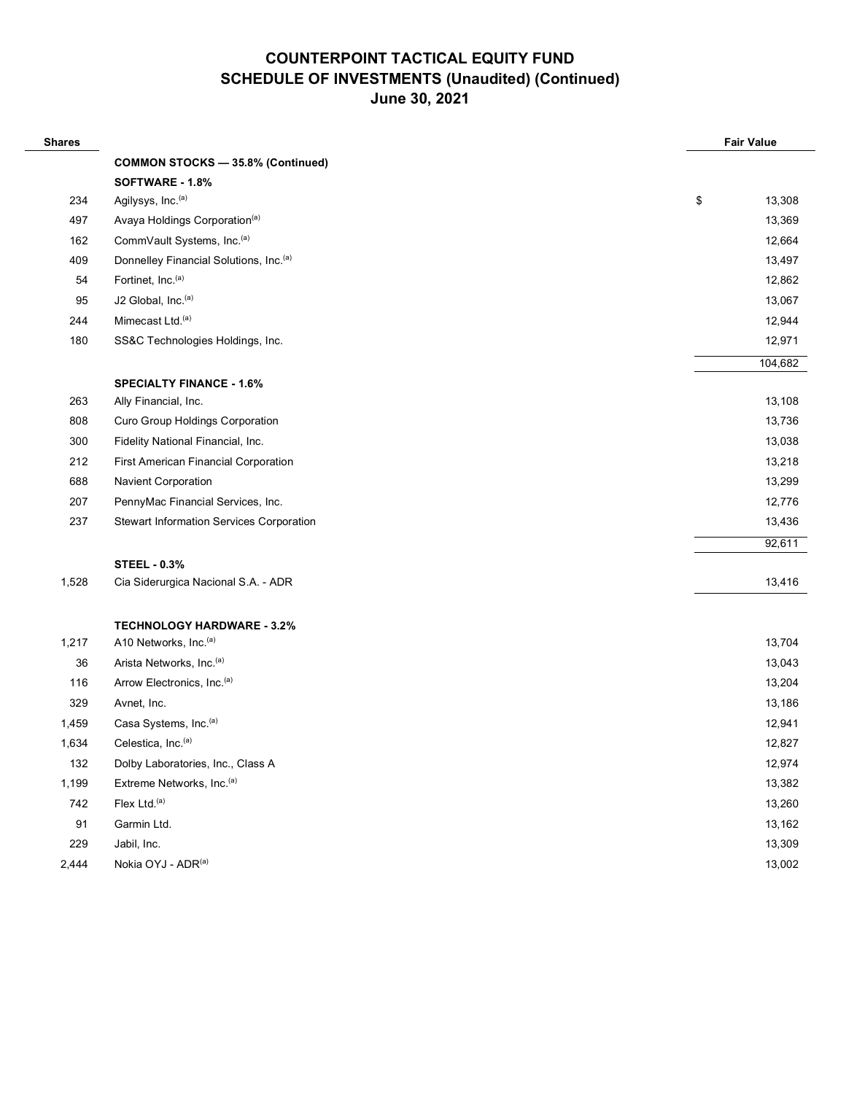| <b>Shares</b> |                                                    | <b>Fair Value</b> |
|---------------|----------------------------------------------------|-------------------|
|               | <b>COMMON STOCKS - 35.8% (Continued)</b>           |                   |
|               | SOFTWARE - 1.8%                                    |                   |
| 234           | Agilysys, Inc. <sup>(a)</sup>                      | \$<br>13,308      |
| 497           | Avaya Holdings Corporation <sup>(a)</sup>          | 13,369            |
| 162           | CommVault Systems, Inc.(a)                         | 12,664            |
| 409           | Donnelley Financial Solutions, Inc. <sup>(a)</sup> | 13,497            |
| 54            | Fortinet, Inc. <sup>(a)</sup>                      | 12,862            |
| 95            | J2 Global, Inc. <sup>(a)</sup>                     | 13,067            |
| 244           | Mimecast Ltd. <sup>(a)</sup>                       | 12,944            |
| 180           | SS&C Technologies Holdings, Inc.                   | 12,971            |
|               |                                                    | 104,682           |
|               | <b>SPECIALTY FINANCE - 1.6%</b>                    |                   |
| 263           | Ally Financial, Inc.                               | 13,108            |
| 808           | Curo Group Holdings Corporation                    | 13,736            |
| 300           | Fidelity National Financial, Inc.                  | 13,038            |
| 212           | First American Financial Corporation               | 13,218            |
| 688           | <b>Navient Corporation</b>                         | 13,299            |
| 207           | PennyMac Financial Services, Inc.                  | 12,776            |
| 237           | Stewart Information Services Corporation           | 13,436            |
|               |                                                    | 92,611            |
|               | <b>STEEL - 0.3%</b>                                |                   |
| 1,528         | Cia Siderurgica Nacional S.A. - ADR                | 13,416            |
|               |                                                    |                   |
|               | <b>TECHNOLOGY HARDWARE - 3.2%</b>                  |                   |
| 1,217         | A10 Networks, Inc. <sup>(a)</sup>                  | 13,704            |
| 36            | Arista Networks, Inc. <sup>(a)</sup>               | 13,043            |
| 116           | Arrow Electronics, Inc.(a)                         | 13,204            |
| 329           | Avnet, Inc.                                        | 13,186            |
| 1,459         | Casa Systems, Inc. <sup>(a)</sup>                  | 12,941            |
| 1,634         | Celestica, Inc. <sup>(a)</sup>                     | 12,827            |
| 132           | Dolby Laboratories, Inc., Class A                  | 12,974            |
| 1,199         | Extreme Networks, Inc. <sup>(a)</sup>              | 13,382            |
| 742           | Flex Ltd. <sup>(a)</sup>                           | 13,260            |
| 91            | Garmin Ltd.                                        | 13,162            |
| 229           | Jabil, Inc.                                        | 13,309            |
| 2,444         | Nokia OYJ - ADR(a)                                 | 13,002            |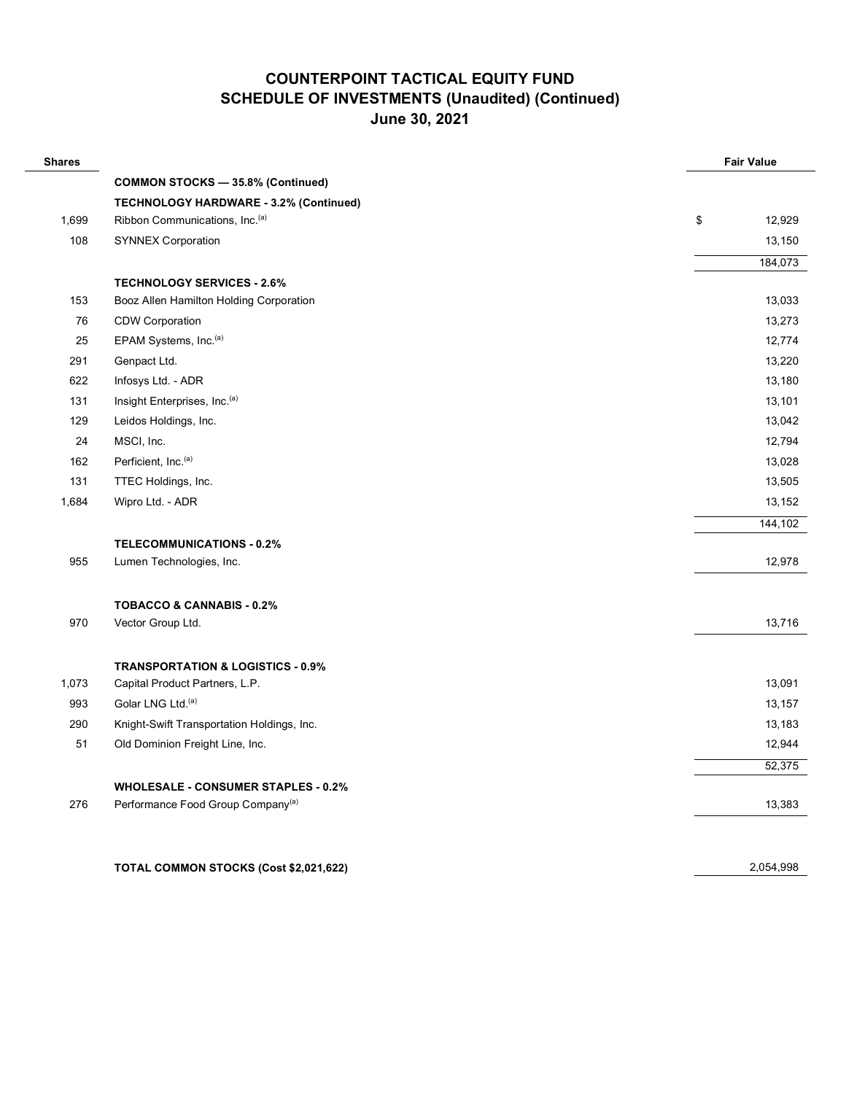| <b>Shares</b> |                                               |    | <b>Fair Value</b> |  |  |
|---------------|-----------------------------------------------|----|-------------------|--|--|
|               | <b>COMMON STOCKS - 35.8% (Continued)</b>      |    |                   |  |  |
|               | <b>TECHNOLOGY HARDWARE - 3.2% (Continued)</b> |    |                   |  |  |
| 1,699         | Ribbon Communications, Inc. <sup>(a)</sup>    | \$ | 12,929            |  |  |
| 108           | <b>SYNNEX Corporation</b>                     |    | 13,150            |  |  |
|               |                                               |    | 184,073           |  |  |
|               | <b>TECHNOLOGY SERVICES - 2.6%</b>             |    |                   |  |  |
| 153           | Booz Allen Hamilton Holding Corporation       |    | 13,033            |  |  |
| 76            | <b>CDW Corporation</b>                        |    | 13,273            |  |  |
| 25            | EPAM Systems, Inc. <sup>(a)</sup>             |    | 12,774            |  |  |
| 291           | Genpact Ltd.                                  |    | 13,220            |  |  |
| 622           | Infosys Ltd. - ADR                            |    | 13,180            |  |  |
| 131           | Insight Enterprises, Inc.(a)                  |    | 13,101            |  |  |
| 129           | Leidos Holdings, Inc.                         |    | 13,042            |  |  |
| 24            | MSCI, Inc.                                    |    | 12,794            |  |  |
| 162           | Perficient, Inc. <sup>(a)</sup>               |    | 13,028            |  |  |
| 131           | TTEC Holdings, Inc.                           |    | 13,505            |  |  |
| 1,684         | Wipro Ltd. - ADR                              |    | 13,152            |  |  |
|               |                                               |    | 144,102           |  |  |
|               | <b>TELECOMMUNICATIONS - 0.2%</b>              |    |                   |  |  |
| 955           | Lumen Technologies, Inc.                      |    | 12,978            |  |  |
|               | <b>TOBACCO &amp; CANNABIS - 0.2%</b>          |    |                   |  |  |
| 970           | Vector Group Ltd.                             |    | 13,716            |  |  |
|               | <b>TRANSPORTATION &amp; LOGISTICS - 0.9%</b>  |    |                   |  |  |
| 1,073         | Capital Product Partners, L.P.                |    | 13,091            |  |  |
| 993           | Golar LNG Ltd. <sup>(a)</sup>                 |    | 13,157            |  |  |
| 290           | Knight-Swift Transportation Holdings, Inc.    |    | 13,183            |  |  |
| 51            | Old Dominion Freight Line, Inc.               |    | 12,944            |  |  |
|               |                                               |    | 52,375            |  |  |
|               | <b>WHOLESALE - CONSUMER STAPLES - 0.2%</b>    |    |                   |  |  |
| 276           | Performance Food Group Company <sup>(a)</sup> |    | 13,383            |  |  |
|               |                                               |    |                   |  |  |
|               | TOTAL COMMON STOCKS (Cost \$2,021,622)        |    | 2,054,998         |  |  |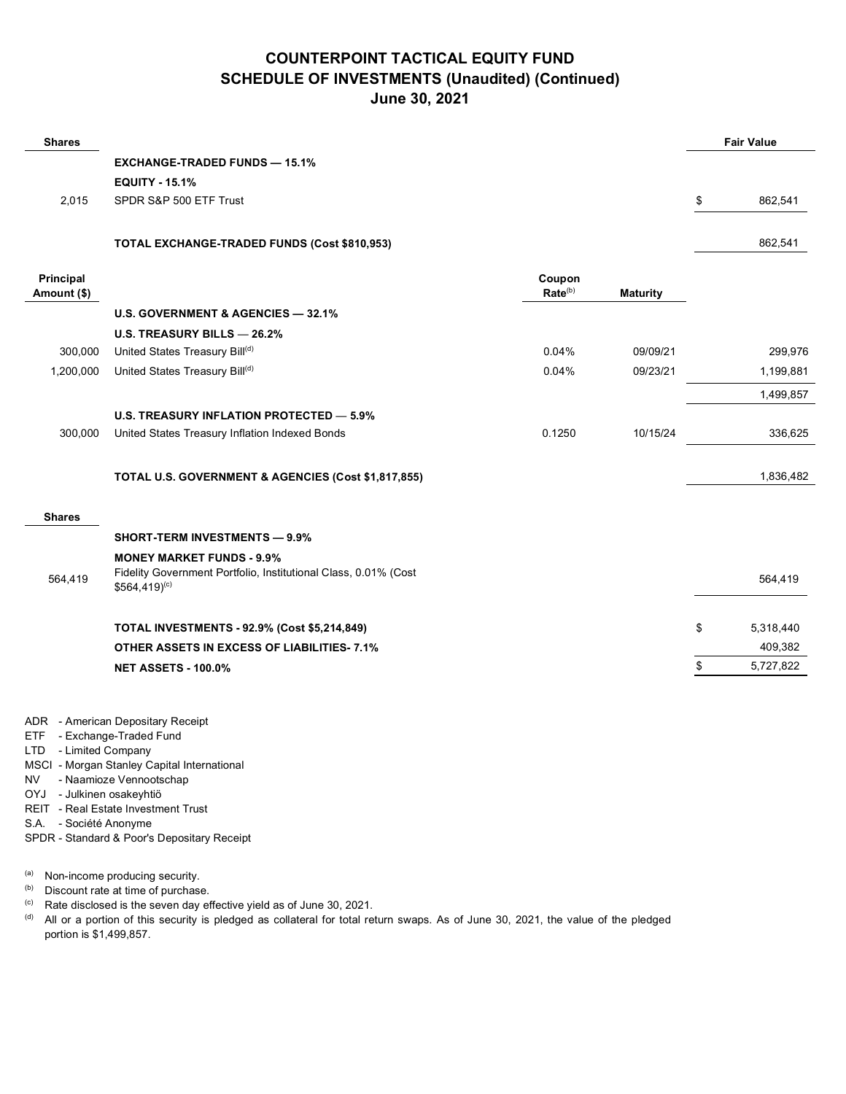| <b>Shares</b>            |                                                                                                                                  |                               |                 | <b>Fair Value</b> |
|--------------------------|----------------------------------------------------------------------------------------------------------------------------------|-------------------------------|-----------------|-------------------|
|                          | <b>EXCHANGE-TRADED FUNDS - 15.1%</b>                                                                                             |                               |                 |                   |
|                          | <b>EQUITY - 15.1%</b>                                                                                                            |                               |                 |                   |
| 2,015                    | SPDR S&P 500 ETF Trust                                                                                                           |                               |                 | \$<br>862,541     |
|                          | TOTAL EXCHANGE-TRADED FUNDS (Cost \$810,953)                                                                                     |                               |                 | 862,541           |
| Principal<br>Amount (\$) |                                                                                                                                  | Coupon<br>Rate <sup>(b)</sup> | <b>Maturity</b> |                   |
|                          | U.S. GOVERNMENT & AGENCIES - 32.1%                                                                                               |                               |                 |                   |
|                          | U.S. TREASURY BILLS - 26.2%                                                                                                      |                               |                 |                   |
| 300,000                  | United States Treasury Bill(d)                                                                                                   | 0.04%                         | 09/09/21        | 299,976           |
| 1,200,000                | United States Treasury Bill(d)                                                                                                   | 0.04%                         | 09/23/21        | 1,199,881         |
|                          |                                                                                                                                  |                               |                 | 1,499,857         |
|                          | <b>U.S. TREASURY INFLATION PROTECTED - 5.9%</b>                                                                                  |                               |                 |                   |
| 300,000                  | United States Treasury Inflation Indexed Bonds                                                                                   | 0.1250                        | 10/15/24        | 336,625           |
|                          | TOTAL U.S. GOVERNMENT & AGENCIES (Cost \$1,817,855)                                                                              |                               |                 | 1,836,482         |
| <b>Shares</b>            |                                                                                                                                  |                               |                 |                   |
|                          | <b>SHORT-TERM INVESTMENTS - 9.9%</b>                                                                                             |                               |                 |                   |
| 564,419                  | <b>MONEY MARKET FUNDS - 9.9%</b><br>Fidelity Government Portfolio, Institutional Class, 0.01% (Cost<br>$$564,419$ <sup>(c)</sup> |                               |                 | 564,419           |
|                          | <b>TOTAL INVESTMENTS - 92.9% (Cost \$5,214,849)</b>                                                                              |                               |                 | \$<br>5,318,440   |
|                          | <b>OTHER ASSETS IN EXCESS OF LIABILITIES-7.1%</b>                                                                                |                               |                 | 409,382           |
|                          | <b>NET ASSETS - 100.0%</b>                                                                                                       |                               |                 | \$<br>5,727,822   |
|                          |                                                                                                                                  |                               |                 |                   |

ADR - American Depositary Receipt

- ETF Exchange-Traded Fund
- LTD Limited Company
- MSCI Morgan Stanley Capital International
- NV Naamioze Vennootschap
- OYJ Julkinen osakeyhtiö
- REIT Real Estate Investment Trust
- S.A. Société Anonyme
- SPDR Standard & Poor's Depositary Receipt
- (a) Non-income producing security.
- (b) Discount rate at time of purchase.
- $(c)$  Rate disclosed is the seven day effective yield as of June 30, 2021.
- (d) All or a portion of this security is pledged as collateral for total return swaps. As of June 30, 2021, the value of the pledged portion is \$1,499,857.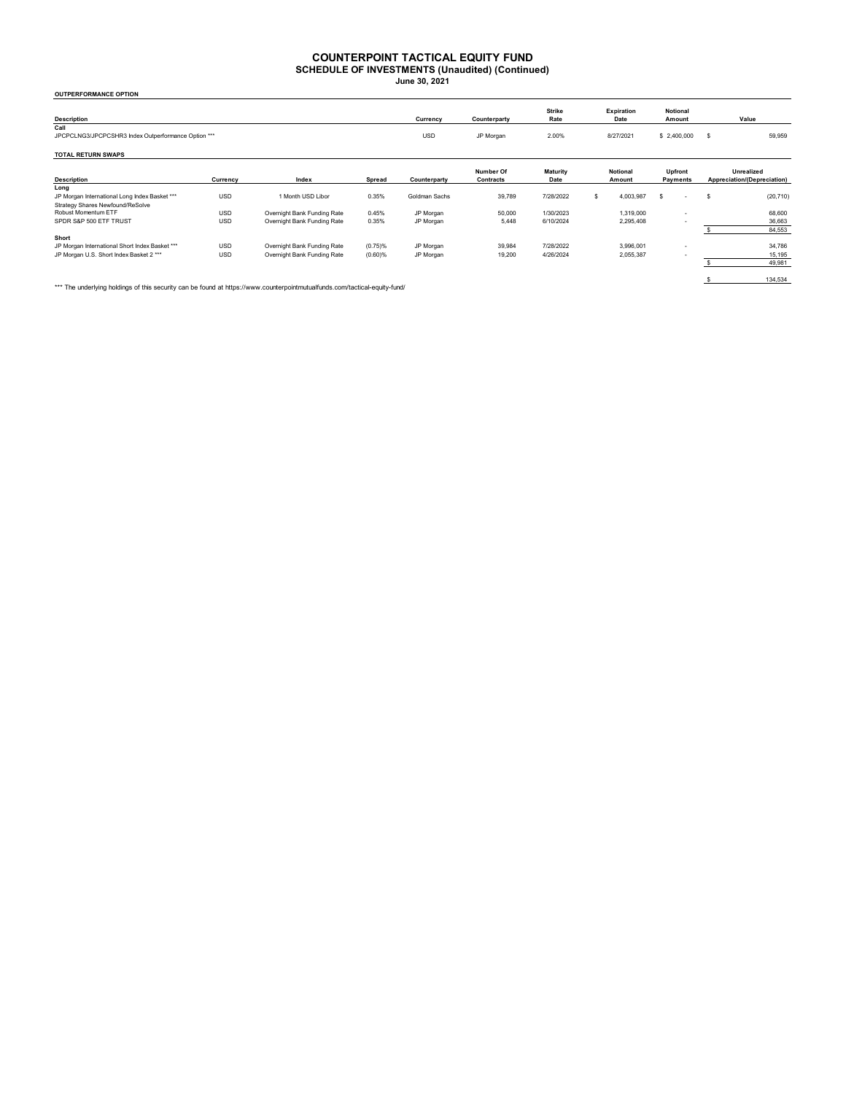#### **COUNTERPOINT TACTICAL EQUITY FUND**

**SCHEDULE OF INVESTMENTS (Unaudited) (Continued) June 30, 2021**

| <b>OUTPERFORMANCE OPTION</b>                        |            |                             |            |               |                        |                       |                    |                    |                     |    |                                           |  |
|-----------------------------------------------------|------------|-----------------------------|------------|---------------|------------------------|-----------------------|--------------------|--------------------|---------------------|----|-------------------------------------------|--|
| <b>Description</b>                                  |            |                             |            | Currency      | Counterparty           | <b>Strike</b><br>Rate |                    | Expiration<br>Date | Notional<br>Amount  |    | Value                                     |  |
| Call                                                |            |                             |            |               |                        |                       |                    |                    |                     |    |                                           |  |
| JPCPCLNG3/JPCPCSHR3 Index Outperformance Option *** |            |                             |            | <b>USD</b>    | JP Morgan              | 2.00%                 |                    | 8/27/2021          | \$2,400,000         | -S | 59,959                                    |  |
| <b>TOTAL RETURN SWAPS</b>                           |            |                             |            |               |                        |                       |                    |                    |                     |    |                                           |  |
| <b>Description</b>                                  | Currency   | Index                       | Spread     | Counterparty  | Number Of<br>Contracts | Maturity<br>Date      | Notional<br>Amount |                    | Upfront<br>Payments |    | Unrealized<br>Appreciation/(Depreciation) |  |
| Long                                                |            |                             |            |               |                        |                       |                    |                    |                     |    |                                           |  |
| JP Morgan International Long Index Basket ***       | <b>USD</b> | 1 Month USD Libor           | 0.35%      | Goldman Sachs | 39,789                 | 7/28/2022             |                    | 4,003,987          | \$                  | s  | (20, 710)                                 |  |
| Strategy Shares Newfound/ReSolve                    |            |                             |            |               |                        |                       |                    |                    |                     |    |                                           |  |
| Robust Momentum ETF                                 | <b>USD</b> | Overnight Bank Funding Rate | 0.45%      | JP Morgan     | 50,000                 | 1/30/2023             |                    | 1.319.000          | $\sim$              |    | 68,600                                    |  |
| SPDR S&P 500 ETF TRUST                              | <b>USD</b> | Overnight Bank Funding Rate | 0.35%      | JP Morgan     | 5.448                  | 6/10/2024             |                    | 2,295,408          |                     |    | 36,663                                    |  |
|                                                     |            |                             |            |               |                        |                       |                    |                    |                     |    | 84,553                                    |  |
| Short                                               |            |                             |            |               |                        |                       |                    |                    |                     |    |                                           |  |
| JP Morgan International Short Index Basket ***      | <b>USD</b> | Overnight Bank Funding Rate | (0.75)%    | JP Morgan     | 39,984                 | 7/28/2022             |                    | 3,996,001          | $\sim$              |    | 34,786                                    |  |
| JP Morgan U.S. Short Index Basket 2 ***             | <b>USD</b> | Overnight Bank Funding Rate | $(0.60)$ % | JP Morgan     | 19,200                 | 4/26/2024             |                    | 2,055,387          |                     |    | 15,195                                    |  |
|                                                     |            |                             |            |               |                        |                       |                    |                    |                     |    | 49,981                                    |  |
|                                                     |            |                             |            |               |                        |                       |                    |                    |                     |    |                                           |  |

\*\*\* The underlying holdings of this security can be found at https://www.counterpointmutualfunds.com/tactical-equity-fund/

\$ 134,534